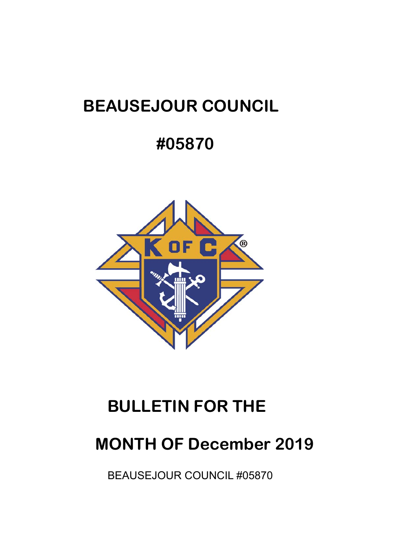# **BEAUSEJOUR COUNCIL**

# **#05870**



# **BULLETIN FOR THE**

# **MONTH OF December 2019**

BEAUSEJOUR COUNCIL #05870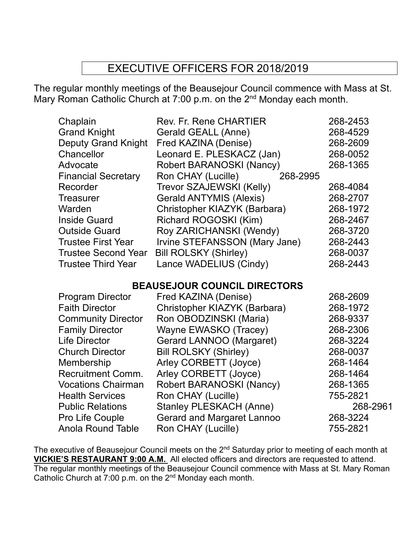## EXECUTIVE OFFICERS FOR 2018/2019

The regular monthly meetings of the Beausejour Council commence with Mass at St. Mary Roman Catholic Church at 7:00 p.m. on the 2<sup>nd</sup> Monday each month.

| <b>Rev. Fr. Rene CHARTIER</b>  | 268-2453 |
|--------------------------------|----------|
| Gerald GEALL (Anne)            | 268-4529 |
| Fred KAZINA (Denise)           | 268-2609 |
| Leonard E. PLESKACZ (Jan)      | 268-0052 |
| Robert BARANOSKI (Nancy)       | 268-1365 |
| Ron CHAY (Lucille)<br>268-2995 |          |
| Trevor SZAJEWSKI (Kelly)       | 268-4084 |
| <b>Gerald ANTYMIS (Alexis)</b> | 268-2707 |
| Christopher KIAZYK (Barbara)   | 268-1972 |
| Richard ROGOSKI (Kim)          | 268-2467 |
| Roy ZARICHANSKI (Wendy)        | 268-3720 |
| Irvine STEFANSSON (Mary Jane)  | 268-2443 |
| <b>Bill ROLSKY (Shirley)</b>   | 268-0037 |
| Lance WADELIUS (Cindy)         | 268-2443 |
|                                |          |

### **BEAUSEJOUR COUNCIL DIRECTORS**

| Fred KAZINA (Denise)              | 268-2609 |
|-----------------------------------|----------|
| Christopher KIAZYK (Barbara)      | 268-1972 |
| Ron OBODZINSKI (Maria)            | 268-9337 |
| Wayne EWASKO (Tracey)             | 268-2306 |
| Gerard LANNOO (Margaret)          | 268-3224 |
| <b>Bill ROLSKY (Shirley)</b>      | 268-0037 |
| Arley CORBETT (Joyce)             | 268-1464 |
| Arley CORBETT (Joyce)             | 268-1464 |
| Robert BARANOSKI (Nancy)          | 268-1365 |
| Ron CHAY (Lucille)                | 755-2821 |
| <b>Stanley PLESKACH (Anne)</b>    | 268-2961 |
| <b>Gerard and Margaret Lannoo</b> | 268-3224 |
| Ron CHAY (Lucille)                | 755-2821 |
|                                   |          |

The executive of Beausejour Council meets on the 2<sup>nd</sup> Saturday prior to meeting of each month at **VICKIE'S RESTAURANT 9:00 A.M.** All elected officers and directors are requested to attend. The regular monthly meetings of the Beausejour Council commence with Mass at St. Mary Roman Catholic Church at 7:00 p.m. on the 2nd Monday each month.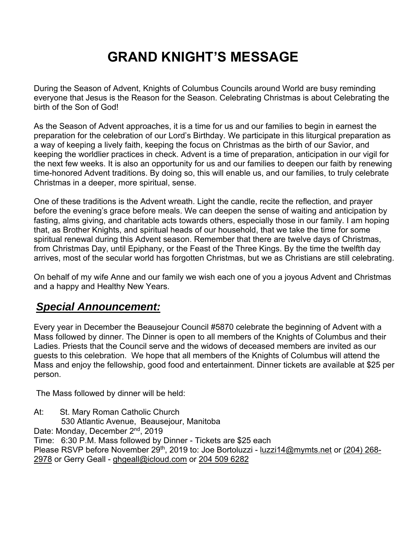# **GRAND KNIGHT'S MESSAGE**

During the Season of Advent, Knights of Columbus Councils around World are busy reminding everyone that Jesus is the Reason for the Season. Celebrating Christmas is about Celebrating the birth of the Son of God!

As the Season of Advent approaches, it is a time for us and our families to begin in earnest the preparation for the celebration of our Lord's Birthday. We participate in this liturgical preparation as a way of keeping a lively faith, keeping the focus on Christmas as the birth of our Savior, and keeping the worldlier practices in check. Advent is a time of preparation, anticipation in our vigil for the next few weeks. It is also an opportunity for us and our families to deepen our faith by renewing time-honored Advent traditions. By doing so, this will enable us, and our families, to truly celebrate Christmas in a deeper, more spiritual, sense.

One of these traditions is the Advent wreath. Light the candle, recite the reflection, and prayer before the evening's grace before meals. We can deepen the sense of waiting and anticipation by fasting, alms giving, and charitable acts towards others, especially those in our family. I am hoping that, as Brother Knights, and spiritual heads of our household, that we take the time for some spiritual renewal during this Advent season. Remember that there are twelve days of Christmas, from Christmas Day, until Epiphany, or the Feast of the Three Kings. By the time the twelfth day arrives, most of the secular world has forgotten Christmas, but we as Christians are still celebrating.

On behalf of my wife Anne and our family we wish each one of you a joyous Advent and Christmas and a happy and Healthy New Years.

## *Special Announcement:*

Every year in December the Beausejour Council #5870 celebrate the beginning of Advent with a Mass followed by dinner. The Dinner is open to all members of the Knights of Columbus and their Ladies. Priests that the Council serve and the widows of deceased members are invited as our guests to this celebration. We hope that all members of the Knights of Columbus will attend the Mass and enjoy the fellowship, good food and entertainment. Dinner tickets are available at \$25 per person.

The Mass followed by dinner will be held:

At: St. Mary Roman Catholic Church 530 Atlantic Avenue, Beausejour, Manitoba Date: Monday, December 2<sup>nd</sup>, 2019 Time: 6:30 P.M. Mass followed by Dinner - Tickets are \$25 each Please RSVP before November 29<sup>th</sup>, 2019 to: Joe Bortoluzzi - luzzi14@mymts.net or (204) 268-2978 or Gerry Geall - ghgeall@icloud.com or 204 509 6282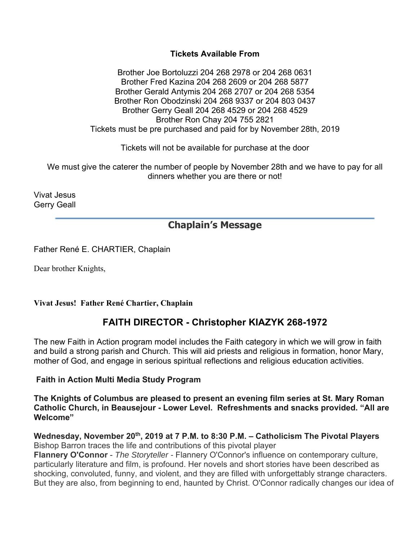#### **Tickets Available From**

Brother Joe Bortoluzzi 204 268 2978 or 204 268 0631 Brother Fred Kazina 204 268 2609 or 204 268 5877 Brother Gerald Antymis 204 268 2707 or 204 268 5354 Brother Ron Obodzinski 204 268 9337 or 204 803 0437 Brother Gerry Geall 204 268 4529 or 204 268 4529 Brother Ron Chay 204 755 2821 Tickets must be pre purchased and paid for by November 28th, 2019

Tickets will not be available for purchase at the door

We must give the caterer the number of people by November 28th and we have to pay for all dinners whether you are there or not!

Vivat Jesus Gerry Geall

## **Chaplain's Message**

Father René E. CHARTIER, Chaplain

Dear brother Knights,

**Vivat Jesus! Father René Chartier, Chaplain** 

### **FAITH DIRECTOR - Christopher KIAZYK 268-1972**

The new Faith in Action program model includes the Faith category in which we will grow in faith and build a strong parish and Church. This will aid priests and religious in formation, honor Mary, mother of God, and engage in serious spiritual reflections and religious education activities.

#### **Faith in Action Multi Media Study Program**

**The Knights of Columbus are pleased to present an evening film series at St. Mary Roman Catholic Church, in Beausejour - Lower Level. Refreshments and snacks provided. "All are Welcome"** 

Wednesday, November 20<sup>th</sup>, 2019 at 7 P.M. to 8:30 P.M. - Catholicism The Pivotal Players Bishop Barron traces the life and contributions of this pivotal player

**Flannery O'Connor** - *The Storyteller -* Flannery O'Connor's influence on contemporary culture, particularly literature and film, is profound. Her novels and short stories have been described as shocking, convoluted, funny, and violent, and they are filled with unforgettably strange characters. But they are also, from beginning to end, haunted by Christ. O'Connor radically changes our idea of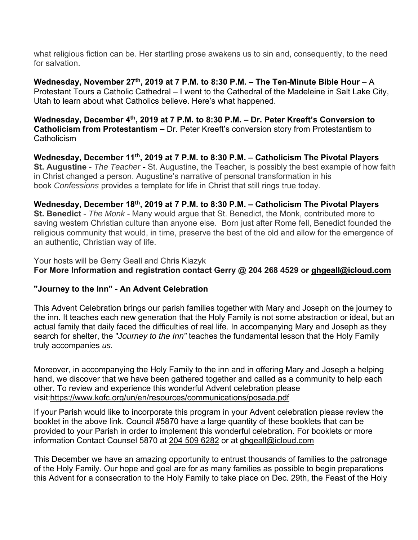what religious fiction can be. Her startling prose awakens us to sin and, consequently, to the need for salvation.

Wednesday, November 27<sup>th</sup>, 2019 at 7 P.M. to 8:30 P.M.  $-$  The Ten-Minute Bible Hour  $-$  A Protestant Tours a Catholic Cathedral – I went to the Cathedral of the Madeleine in Salt Lake City, Utah to learn about what Catholics believe. Here's what happened.

Wednesday, December 4<sup>th</sup>, 2019 at 7 P.M. to 8:30 P.M. - Dr. Peter Kreeft's Conversion to **Catholicism from Protestantism –** Dr. Peter Kreeft's conversion story from Protestantism to **Catholicism** 

Wednesday, December 11<sup>th</sup>, 2019 at 7 P.M. to 8:30 P.M. – Catholicism The Pivotal Players **St. Augustine** - *The Teacher* **-** St. Augustine, the Teacher, is possibly the best example of how faith in Christ changed a person. Augustine's narrative of personal transformation in his book *Confessions* provides a template for life in Christ that still rings true today.

**Wednesday, December 18th, 2019 at 7 P.M. to 8:30 P.M. – Catholicism The Pivotal Players St. Benedict** - *The Monk* - Many would argue that St. Benedict, the Monk, contributed more to saving western Christian culture than anyone else. Born just after Rome fell, Benedict founded the religious community that would, in time, preserve the best of the old and allow for the emergence of an authentic, Christian way of life.

Your hosts will be Gerry Geall and Chris Kiazyk **For More Information and registration contact Gerry @ 204 268 4529 or ghgeall@icloud.com**

#### **"Journey to the Inn" - An Advent Celebration**

This Advent Celebration brings our parish families together with Mary and Joseph on the journey to the inn. It teaches each new generation that the Holy Family is not some abstraction or ideal, but an actual family that daily faced the difficulties of real life. In accompanying Mary and Joseph as they search for shelter, the "*Journey to the Inn"* teaches the fundamental lesson that the Holy Family truly accompanies *us.*

Moreover, in accompanying the Holy Family to the inn and in offering Mary and Joseph a helping hand, we discover that we have been gathered together and called as a community to help each other. To review and experience this wonderful Advent celebration please visit:https://www.kofc.org/un/en/resources/communications/posada.pdf

If your Parish would like to incorporate this program in your Advent celebration please review the booklet in the above link. Council #5870 have a large quantity of these booklets that can be provided to your Parish in order to implement this wonderful celebration. For booklets or more information Contact Counsel 5870 at 204 509 6282 or at ghgeall@icloud.com

This December we have an amazing opportunity to entrust thousands of families to the patronage of the Holy Family. Our hope and goal are for as many families as possible to begin preparations this Advent for a consecration to the Holy Family to take place on Dec. 29th, the Feast of the Holy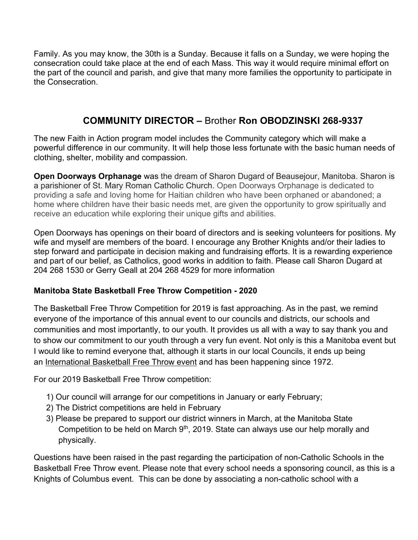Family. As you may know, the 30th is a Sunday. Because it falls on a Sunday, we were hoping the consecration could take place at the end of each Mass. This way it would require minimal effort on the part of the council and parish, and give that many more families the opportunity to participate in the Consecration.

## **COMMUNITY DIRECTOR –** Brother **Ron OBODZINSKI 268-9337**

The new Faith in Action program model includes the Community category which will make a powerful difference in our community. It will help those less fortunate with the basic human needs of clothing, shelter, mobility and compassion.

**Open Doorways Orphanage** was the dream of Sharon Dugard of Beausejour, Manitoba. Sharon is a parishioner of St. Mary Roman Catholic Church. Open Doorways Orphanage is dedicated to providing a safe and loving home for Haitian children who have been orphaned or abandoned; a home where children have their basic needs met, are given the opportunity to grow spiritually and receive an education while exploring their unique gifts and abilities.

Open Doorways has openings on their board of directors and is seeking volunteers for positions. My wife and myself are members of the board. I encourage any Brother Knights and/or their ladies to step forward and participate in decision making and fundraising efforts. It is a rewarding experience and part of our belief, as Catholics, good works in addition to faith. Please call Sharon Dugard at 204 268 1530 or Gerry Geall at 204 268 4529 for more information

#### **Manitoba State Basketball Free Throw Competition - 2020**

The Basketball Free Throw Competition for 2019 is fast approaching. As in the past, we remind everyone of the importance of this annual event to our councils and districts, our schools and communities and most importantly, to our youth. It provides us all with a way to say thank you and to show our commitment to our youth through a very fun event. Not only is this a Manitoba event but I would like to remind everyone that, although it starts in our local Councils, it ends up being an International Basketball Free Throw event and has been happening since 1972.

For our 2019 Basketball Free Throw competition:

- 1) Our council will arrange for our competitions in January or early February;
- 2) The District competitions are held in February
- 3) Please be prepared to support our district winners in March, at the Manitoba State Competition to be held on March  $9<sup>th</sup>$ , 2019. State can always use our help morally and physically.

Questions have been raised in the past regarding the participation of non-Catholic Schools in the Basketball Free Throw event. Please note that every school needs a sponsoring council, as this is a Knights of Columbus event. This can be done by associating a non-catholic school with a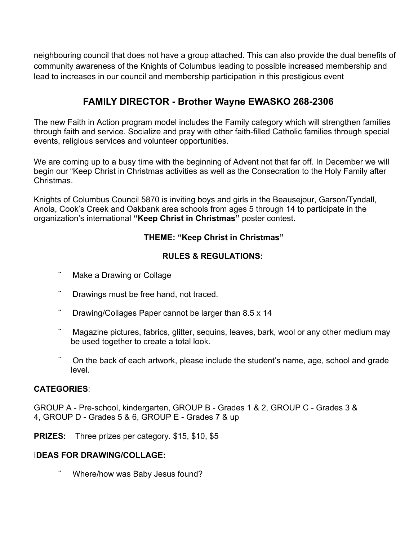neighbouring council that does not have a group attached. This can also provide the dual benefits of community awareness of the Knights of Columbus leading to possible increased membership and lead to increases in our council and membership participation in this prestigious event

### **FAMILY DIRECTOR - Brother Wayne EWASKO 268-2306**

The new Faith in Action program model includes the Family category which will strengthen families through faith and service. Socialize and pray with other faith-filled Catholic families through special events, religious services and volunteer opportunities.

We are coming up to a busy time with the beginning of Advent not that far off. In December we will begin our "Keep Christ in Christmas activities as well as the Consecration to the Holy Family after Christmas.

Knights of Columbus Council 5870 is inviting boys and girls in the Beausejour, Garson/Tyndall, Anola, Cook's Creek and Oakbank area schools from ages 5 through 14 to participate in the organization's international **"Keep Christ in Christmas"** poster contest.

#### **THEME: "Keep Christ in Christmas"**

#### **RULES & REGULATIONS:**

- Make a Drawing or Collage
- Drawings must be free hand, not traced.
- Drawing/Collages Paper cannot be larger than 8.5 x 14
- Magazine pictures, fabrics, glitter, sequins, leaves, bark, wool or any other medium may be used together to create a total look.
- On the back of each artwork, please include the student's name, age, school and grade level.

#### **CATEGORIES**:

GROUP A - Pre-school, kindergarten, GROUP B - Grades 1 & 2, GROUP C - Grades 3 & 4, GROUP D - Grades 5 & 6, GROUP E - Grades 7 & up

**PRIZES:** Three prizes per category. \$15, \$10, \$5

#### I**DEAS FOR DRAWING/COLLAGE:**

Where/how was Baby Jesus found?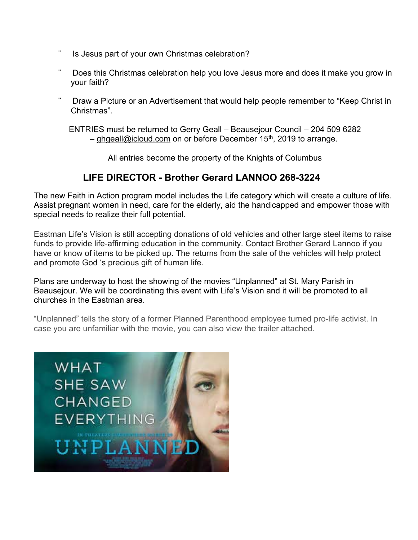- Is Jesus part of your own Christmas celebration?
- Does this Christmas celebration help you love Jesus more and does it make you grow in your faith?
- Draw a Picture or an Advertisement that would help people remember to "Keep Christ in Christmas".

ENTRIES must be returned to Gerry Geall – Beausejour Council – 204 509 6282 – ghgeall@icloud.com on or before December 15<sup>th</sup>, 2019 to arrange.

All entries become the property of the Knights of Columbus

## **LIFE DIRECTOR - Brother Gerard LANNOO 268-3224**

The new Faith in Action program model includes the Life category which will create a culture of life. Assist pregnant women in need, care for the elderly, aid the handicapped and empower those with special needs to realize their full potential.

Eastman Life's Vision is still accepting donations of old vehicles and other large steel items to raise funds to provide life-affirming education in the community. Contact Brother Gerard Lannoo if you have or know of items to be picked up. The returns from the sale of the vehicles will help protect and promote God 's precious gift of human life.

Plans are underway to host the showing of the movies "Unplanned" at St. Mary Parish in Beausejour. We will be coordinating this event with Life's Vision and it will be promoted to all churches in the Eastman area.

"Unplanned" tells the story of a former Planned Parenthood employee turned pro-life activist. In case you are unfamiliar with the movie, you can also view the trailer attached.

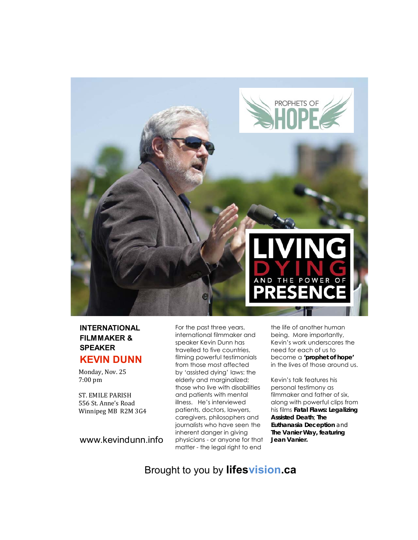

#### **INTERNATIONAL FILMMAKER & SPEAKER KEVIN DUNN**

Monday, Nov. 25 7:00 pm

556 St. Anne's Road Winnipeg MB R2M 3G4 ST. EMILE PARISH

www.kevindunn.info

For the past three years, international filmmaker and speaker Kevin Dunn has travelled to five countries, filming powerful testimonials from those most affected by 'assisted dying' laws: the elderly and marginalized; those who live with disabilities and patients with mental illness. He's interviewed patients, doctors, lawyers, caregivers, philosophers and journalists who have seen the inherent danger in giving physicians - or anyone for that matter - the legal right to end

the life of another human being. More importantly, Kevin's work underscores the need for each of us to become a *'prophet of hope'* in the lives of those around us.

Kevin's talk features his personal testimony as filmmaker and father of six, along with powerful clips from his films *Fatal Flaws: Legalizing Assisted Death; The Euthanasia Deception and The Vanier Way, featuring Jean Vanier.* 

Brought to you by **lifesvision.ca**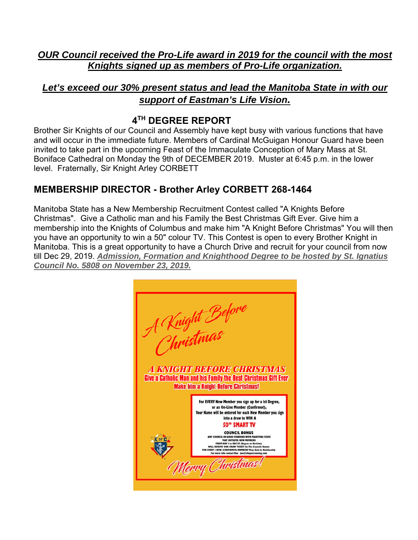*OUR Council received the Pro-Life award in 2019 for the council with the most Knights signed up as members of Pro-Life organization.* 

## *Let's exceed our 30% present status and lead the Manitoba State in with our support of Eastman's Life Vision.*

## **4TH DEGREE REPORT**

Brother Sir Knights of our Council and Assembly have kept busy with various functions that have and will occur in the immediate future. Members of Cardinal McGuigan Honour Guard have been invited to take part in the upcoming Feast of the Immaculate Conception of Mary Mass at St. Boniface Cathedral on Monday the 9th of DECEMBER 2019. Muster at 6:45 p.m. in the lower level. Fraternally, Sir Knight Arley CORBETT

## **MEMBERSHIP DIRECTOR - Brother Arley CORBETT 268-1464**

Manitoba State has a New Membership Recruitment Contest called "A Knights Before Christmas". Give a Catholic man and his Family the Best Christmas Gift Ever. Give him a membership into the Knights of Columbus and make him "A Knight Before Christmas" You will then you have an opportunity to win a 50" colour TV. This Contest is open to every Brother Knight in Manitoba. This is a great opportunity to have a Church Drive and recruit for your council from now till Dec 29, 2019. *Admission, Formation and Knighthood Degree to be hosted by St. Ignatius Council No. 5808 on November 23, 2019.*

A Vnight Before<br>Christmas **A KNIGHT BEFORE CHRISTMAS** Give a Catholic Man and his Family the Best Christmas Gift Ever **Make him a Knight Before Christmas!** For EVERY New Member you sign up for a lst Degree, or an On-Line Member (Confirmed), e will be entered for each New Member you sign into a draw to WIN A **50" SMART TV COUNCIL BONUS** ICIL IN GOOD STANDING WITH MANITOBA STATE<br>THAT INITIATES NEW MEMBERS<br>OM NOY I to DEC 29 (Degree or On-Line)<br>EIVE ONE DRAW TICKET (In The Council Name)<br>IVE (CONFIRMED) MEMBERS They Gain in Member Merry Christmas!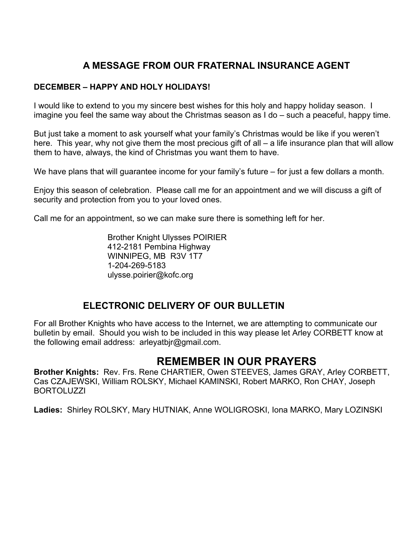## **A MESSAGE FROM OUR FRATERNAL INSURANCE AGENT**

#### **DECEMBER – HAPPY AND HOLY HOLIDAYS!**

I would like to extend to you my sincere best wishes for this holy and happy holiday season. I imagine you feel the same way about the Christmas season as I do – such a peaceful, happy time.

But just take a moment to ask yourself what your family's Christmas would be like if you weren't here. This year, why not give them the most precious gift of all – a life insurance plan that will allow them to have, always, the kind of Christmas you want them to have.

We have plans that will guarantee income for your family's future – for just a few dollars a month.

Enjoy this season of celebration. Please call me for an appointment and we will discuss a gift of security and protection from you to your loved ones.

Call me for an appointment, so we can make sure there is something left for her.

 Brother Knight Ulysses POIRIER 412-2181 Pembina Highway WINNIPEG, MB R3V 1T7 1-204-269-5183 ulysse.poirier@kofc.org

### **ELECTRONIC DELIVERY OF OUR BULLETIN**

For all Brother Knights who have access to the Internet, we are attempting to communicate our bulletin by email. Should you wish to be included in this way please let Arley CORBETT know at the following email address: arleyatbjr@gmail.com.

## **REMEMBER IN OUR PRAYERS**

**Brother Knights:** Rev. Frs. Rene CHARTIER, Owen STEEVES, James GRAY, Arley CORBETT, Cas CZAJEWSKI, William ROLSKY, Michael KAMINSKI, Robert MARKO, Ron CHAY, Joseph BORTOLUZZI

**Ladies:** Shirley ROLSKY, Mary HUTNIAK, Anne WOLIGROSKI, Iona MARKO, Mary LOZINSKI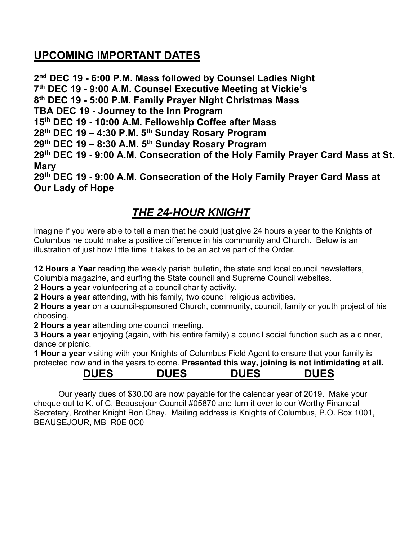## **UPCOMING IMPORTANT DATES**

**2nd DEC 19 - 6:00 P.M. Mass followed by Counsel Ladies Night 7th DEC 19 - 9:00 A.M. Counsel Executive Meeting at Vickie's 8th DEC 19 - 5:00 P.M. Family Prayer Night Christmas Mass TBA DEC 19 - Journey to the Inn Program 15th DEC 19 - 10:00 A.M. Fellowship Coffee after Mass 28th DEC 19 – 4:30 P.M. 5th Sunday Rosary Program 29th DEC 19 – 8:30 A.M. 5th Sunday Rosary Program 29th DEC 19 - 9:00 A.M. Consecration of the Holy Family Prayer Card Mass at St. Mary 29th DEC 19 - 9:00 A.M. Consecration of the Holy Family Prayer Card Mass at Our Lady of Hope**

## *THE 24-HOUR KNIGHT*

Imagine if you were able to tell a man that he could just give 24 hours a year to the Knights of Columbus he could make a positive difference in his community and Church. Below is an illustration of just how little time it takes to be an active part of the Order.

**12 Hours a Year** reading the weekly parish bulletin, the state and local council newsletters, Columbia magazine, and surfing the State council and Supreme Council websites.

**2 Hours a year** volunteering at a council charity activity.

**2 Hours a year** attending, with his family, two council religious activities.

**2 Hours a year** on a council-sponsored Church, community, council, family or youth project of his choosing.

**2 Hours a year** attending one council meeting.

**3 Hours a year** enjoying (again, with his entire family) a council social function such as a dinner, dance or picnic.

**1 Hour a year** visiting with your Knights of Columbus Field Agent to ensure that your family is protected now and in the years to come. **Presented this way, joining is not intimidating at all.** 

## **DUES DUES DUES DUES**

 Our yearly dues of \$30.00 are now payable for the calendar year of 2019. Make your cheque out to K. of C. Beausejour Council #05870 and turn it over to our Worthy Financial Secretary, Brother Knight Ron Chay. Mailing address is Knights of Columbus, P.O. Box 1001, BEAUSEJOUR, MB R0E 0C0